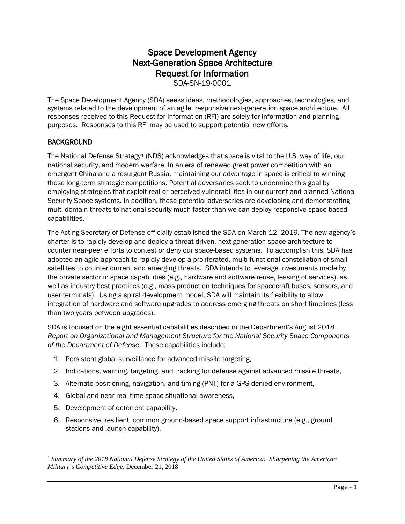# Space Development Agency Next-Generation Space Architecture Request for Information

SDA-SN-19-0001

The Space Development Agency (SDA) seeks ideas, methodologies, approaches, technologies, and systems related to the development of an agile, responsive next-generation space architecture. All responses received to this Request for Information (RFI) are solely for information and planning purposes. Responses to this RFI may be used to support potential new efforts.

### **BACKGROUND**

The National Defense Strategy<sup>[1](#page-0-0)</sup> (NDS) acknowledges that space is vital to the U.S. way of life, our national security, and modern warfare. In an era of renewed great power competition with an emergent China and a resurgent Russia, maintaining our advantage in space is critical to winning these long-term strategic competitions. Potential adversaries seek to undermine this goal by employing strategies that exploit real or perceived vulnerabilities in our current and planned National Security Space systems. In addition, these potential adversaries are developing and demonstrating multi-domain threats to national security much faster than we can deploy responsive space-based capabilities.

The Acting Secretary of Defense officially established the SDA on March 12, 2019. The new agency's charter is to rapidly develop and deploy a threat-driven, next-generation space architecture to counter near-peer efforts to contest or deny our space-based systems. To accomplish this, SDA has adopted an agile approach to rapidly develop a proliferated, multi-functional constellation of small satellites to counter current and emerging threats. SDA intends to leverage investments made by the private sector in space capabilities (e.g., hardware and software reuse, leasing of services), as well as industry best practices (e.g., mass production techniques for spacecraft buses, sensors, and user terminals). Using a spiral development model, SDA will maintain its flexibility to allow integration of hardware and software upgrades to address emerging threats on short timelines (less than two years between upgrades).

SDA is focused on the eight essential capabilities described in the Department's August 2018 *Report on Organizational and Management Structure for the National Security Space Components of the Department of Defense*. These capabilities include:

- 1. Persistent global surveillance for advanced missile targeting,
- 2. Indications, warning, targeting, and tracking for defense against advanced missile threats,
- 3. Alternate positioning, navigation, and timing (PNT) for a GPS-denied environment,
- 4. Global and near-real time space situational awareness,
- 5. Development of deterrent capability,

l

6. Responsive, resilient, common ground-based space support infrastructure (e.g., ground stations and launch capability),

<span id="page-0-0"></span><sup>1</sup> *Summary of the 2018 National Defense Strategy of the United States of America: Sharpening the American Military's Competitive Edge*, December 21, 2018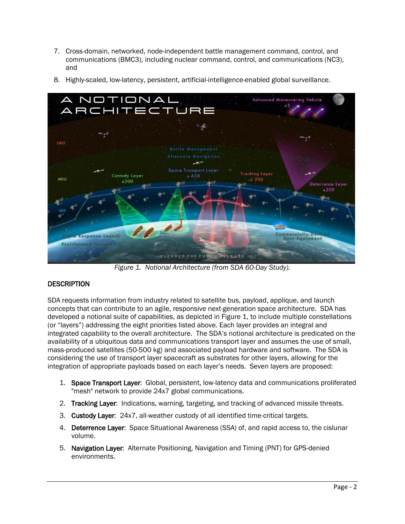- 7. Cross-domain, networked, node-independent battle management command, control, and communications (BMC3), including nuclear command, control, and communications (NC3), and
- 8. Highly-scaled, low-latency, persistent, artificial-intelligence-enabled global surveillance.



*Figure 1. Notional Architecture (from SDA 60-Day Study).*

## **DESCRIPTION**

SDA requests information from industry related to satellite bus, payload, applique, and launch concepts that can contribute to an agile, responsive next-generation space architecture. SDA has developed a notional suite of capabilities, as depicted in Figure 1, to include multiple constellations (or "layers") addressing the eight priorities listed above. Each layer provides an integral and integrated capability to the overall architecture. The SDA's notional architecture is predicated on the availability of a ubiquitous data and communications transport layer and assumes the use of small, mass-produced satellites (50-500 kg) and associated payload hardware and software. The SDA is considering the use of transport layer spacecraft as substrates for other layers, allowing for the integration of appropriate payloads based on each layer's needs. Seven layers are proposed:

- 1. Space Transport Layer: Global, persistent, low-latency data and communications proliferated "mesh" network to provide 24x7 global communications.
- 2. Tracking Layer: Indications, warning, targeting, and tracking of advanced missile threats.
- 3. Custody Layer: 24x7, all-weather custody of all identified time-critical targets.
- 4. Deterrence Layer: Space Situational Awareness (SSA) of, and rapid access to, the cislunar volume.
- 5. Navigation Layer: Alternate Positioning, Navigation and Timing (PNT) for GPS-denied environments.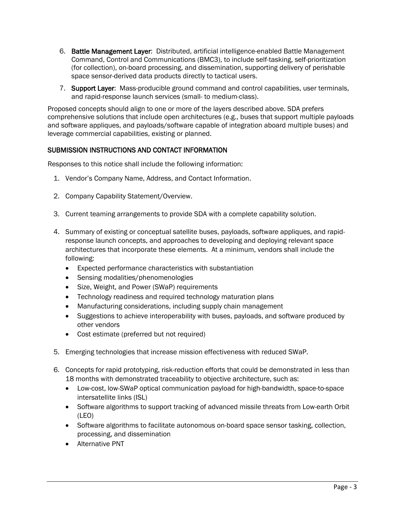- 6. Battle Management Layer: Distributed, artificial intelligence-enabled Battle Management Command, Control and Communications (BMC3), to include self-tasking, self-prioritization (for collection), on-board processing, and dissemination, supporting delivery of perishable space sensor-derived data products directly to tactical users.
- 7. Support Layer: Mass-producible ground command and control capabilities, user terminals, and rapid-response launch services (small- to medium-class).

Proposed concepts should align to one or more of the layers described above. SDA prefers comprehensive solutions that include open architectures (e.g., buses that support multiple payloads and software appliques, and payloads/software capable of integration aboard multiple buses) and leverage commercial capabilities, existing or planned.

## SUBMISSION INSTRUCTIONS AND CONTACT INFORMATION

Responses to this notice shall include the following information:

- 1. Vendor's Company Name, Address, and Contact Information.
- 2. Company Capability Statement/Overview.
- 3. Current teaming arrangements to provide SDA with a complete capability solution.
- 4. Summary of existing or conceptual satellite buses, payloads, software appliques, and rapidresponse launch concepts, and approaches to developing and deploying relevant space architectures that incorporate these elements. At a minimum, vendors shall include the following:
	- Expected performance characteristics with substantiation
	- Sensing modalities/phenomenologies
	- Size, Weight, and Power (SWaP) requirements
	- Technology readiness and required technology maturation plans
	- Manufacturing considerations, including supply chain management
	- Suggestions to achieve interoperability with buses, payloads, and software produced by other vendors
	- Cost estimate (preferred but not required)
- 5. Emerging technologies that increase mission effectiveness with reduced SWaP.
- 6. Concepts for rapid prototyping, risk-reduction efforts that could be demonstrated in less than 18 months with demonstrated traceability to objective architecture, such as:
	- Low-cost, low-SWaP optical communication payload for high-bandwidth, space-to-space intersatellite links (ISL)
	- Software algorithms to support tracking of advanced missile threats from Low-earth Orbit (LEO)
	- Software algorithms to facilitate autonomous on-board space sensor tasking, collection, processing, and dissemination
	- Alternative PNT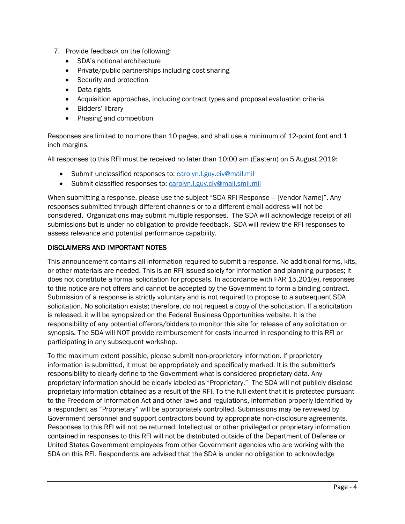- 7. Provide feedback on the following:
	- SDA's notional architecture
	- Private/public partnerships including cost sharing
	- Security and protection
	- Data rights
	- Acquisition approaches, including contract types and proposal evaluation criteria
	- Bidders' library
	- Phasing and competition

Responses are limited to no more than 10 pages, and shall use a minimum of 12-point font and 1 inch margins.

All responses to this RFI must be received no later than 10:00 am (Eastern) on 5 August 2019:

- Submit unclassified responses to: [carolyn.l.guy.civ@mail.mil](mailto:carolyn.l.guy.civ@mail.mil)
- Submit classified responses to: [carolyn.l.guy.civ@mail.smil.mil](mailto:carolyn.l.guy.civ@mail.smil.mil)

When submitting a response, please use the subject "SDA RFI Response – [Vendor Name]". Any responses submitted through different channels or to a different email address will not be considered. Organizations may submit multiple responses. The SDA will acknowledge receipt of all submissions but is under no obligation to provide feedback. SDA will review the RFI responses to assess relevance and potential performance capability.

### DISCLAIMERS AND IMPORTANT NOTES

This announcement contains all information required to submit a response. No additional forms, kits, or other materials are needed. This is an RFI issued solely for information and planning purposes; it does not constitute a formal solicitation for proposals. In accordance with FAR 15.201(e), responses to this notice are not offers and cannot be accepted by the Government to form a binding contract. Submission of a response is strictly voluntary and is not required to propose to a subsequent SDA solicitation. No solicitation exists; therefore, do not request a copy of the solicitation. If a solicitation is released, it will be synopsized on the Federal Business Opportunities website. It is the responsibility of any potential offerors/bidders to monitor this site for release of any solicitation or synopsis. The SDA will NOT provide reimbursement for costs incurred in responding to this RFI or participating in any subsequent workshop.

To the maximum extent possible, please submit non-proprietary information. If proprietary information is submitted, it must be appropriately and specifically marked. It is the submitter's responsibility to clearly define to the Government what is considered proprietary data. Any proprietary information should be clearly labeled as "Proprietary." The SDA will not publicly disclose proprietary information obtained as a result of the RFI. To the full extent that it is protected pursuant to the Freedom of Information Act and other laws and regulations, information properly identified by a respondent as "Proprietary" will be appropriately controlled. Submissions may be reviewed by Government personnel and support contractors bound by appropriate non-disclosure agreements. Responses to this RFI will not be returned. Intellectual or other privileged or proprietary information contained in responses to this RFI will not be distributed outside of the Department of Defense or United States Government employees from other Government agencies who are working with the SDA on this RFI. Respondents are advised that the SDA is under no obligation to acknowledge